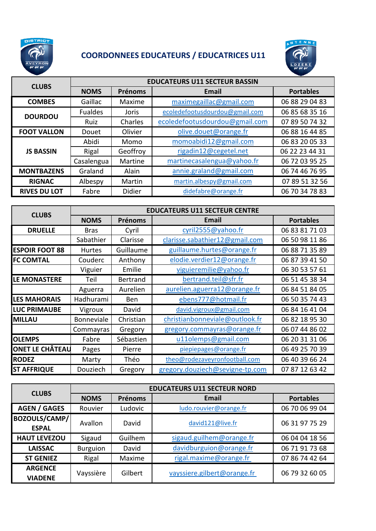

## **COORDONNEES EDUCATEURS / EDUCATRICES U11**



| <b>CLUBS</b>        | <b>EDUCATEURS U11 SECTEUR BASSIN</b> |          |                                |                  |  |
|---------------------|--------------------------------------|----------|--------------------------------|------------------|--|
|                     | <b>NOMS</b>                          | Prénoms  | <b>Email</b>                   | <b>Portables</b> |  |
| <b>COMBES</b>       | Gaillac                              | Maxime   | maximegaillac@gmail.com        | 06 88 29 04 83   |  |
| <b>DOURDOU</b>      | <b>Fualdes</b>                       | Joris    | ecoledefootusdourdou@gmail.com | 06 85 68 35 16   |  |
|                     | Ruiz                                 | Charles  | ecoledefootusdourdou@gmail.com | 07 89 50 74 32   |  |
| <b>FOOT VALLON</b>  | Douet                                | Olivier  | olive.douet@orange.fr          | 06 88 16 44 85   |  |
| <b>JS BASSIN</b>    | Abidi                                | Momo     | momoabidi12@gmail.com          | 06 83 20 05 33   |  |
|                     | Rigal                                | Geoffroy | rigadin12@cegetel.net          | 06 22 23 44 31   |  |
|                     | Casalengua                           | Martine  | martinecasalengua@yahoo.fr     | 06 72 03 95 25   |  |
| <b>MONTBAZENS</b>   | Graland                              | Alain    | annie.graland@gmail.com        | 06 74 46 76 95   |  |
| <b>RIGNAC</b>       | Albespy                              | Martin   | martin.albespy@gmail.com       | 07 89 51 32 56   |  |
| <b>RIVES DU LOT</b> | Fabre                                | Didier   | didefabre@orange.fr            | 06 70 34 78 83   |  |

| <b>CLUBS</b>           | <b>EDUCATEURS U11 SECTEUR CENTRE</b> |                 |                                 |                  |  |
|------------------------|--------------------------------------|-----------------|---------------------------------|------------------|--|
|                        | <b>NOMS</b>                          | Prénoms         | Email                           | <b>Portables</b> |  |
| <b>DRUELLE</b>         | <b>Bras</b>                          | Cyril           | cyril2555@yahoo.fr              | 06 83 81 71 03   |  |
|                        | Sabathier                            | Clarisse        | clarisse.sabathier12@gmail.com  | 06 50 98 11 86   |  |
| <b>ESPOIR FOOT 88</b>  | <b>Hurtes</b>                        | Guillaume       | guillaume.hurtes@orange.fr      | 06 88 71 35 89   |  |
| <b>FC COMTAL</b>       | Couderc                              | Anthony         | elodie.verdier12@orange.fr      | 06 87 39 41 50   |  |
|                        | Viguier                              | Emilie          | viguieremilie@yahoo.fr          | 06 30 53 57 61   |  |
| LE MONASTERE           | Teil                                 | <b>Bertrand</b> | bertrand.teil@sfr.fr            | 06 51 45 38 34   |  |
|                        | Aguerra                              | Aurelien        | aurelien.aguerra12@orange.fr    | 06 84 51 84 05   |  |
| <b>LES MAHORAIS</b>    | Hadhurami                            | <b>Ben</b>      | ebens777@hotmail.fr             | 06 50 35 74 43   |  |
| <b>LUC PRIMAUBE</b>    | Vigroux                              | David           | david.vigroux@gmail.com         | 06 84 16 41 04   |  |
| <b>MILLAU</b>          | Bonneviale                           | Christian       | christianbonneviale@outlook.fr  | 06 82 18 95 30   |  |
|                        | Commayras                            | Gregory         | gregory.commayras@orange.fr     | 06 07 44 86 02   |  |
| <b>OLEMPS</b>          | Fabre                                | Sébastien       | u11olemps@gmail.com             | 06 20 31 31 06   |  |
| <b>ONET LE CHÂTEAU</b> | Pages                                | Pierre          | piepiepages@orange.fr           | 06 49 25 70 39   |  |
| <b>RODEZ</b>           | Marty                                | Théo            | theo@rodezaveyronfootball.com   | 06 40 39 66 24   |  |
| <b>ST AFFRIQUE</b>     | Douziech                             | Gregory         | gregory.douziech@sevigne-tp.com | 07 87 12 63 42   |  |

| <b>CLUBS</b>                         | <b>EDUCATEURS U11 SECTEUR NORD</b> |                |                             |                  |  |
|--------------------------------------|------------------------------------|----------------|-----------------------------|------------------|--|
|                                      | <b>NOMS</b>                        | <b>Prénoms</b> | Email                       | <b>Portables</b> |  |
| <b>AGEN / GAGES</b>                  | Rouvier                            | Ludovic        | ludo.rouvier@orange.fr      | 06 70 06 99 04   |  |
| <b>BOZOULS/CAMP/</b><br><b>ESPAL</b> | Avallon                            | David          | david121@live.fr            | 06 31 97 75 29   |  |
| <b>HAUT LEVEZOU</b>                  | Sigaud                             | Guilhem        | sigaud.guilhem@orange.fr    | 06 04 04 18 56   |  |
| <b>LAISSAC</b>                       | <b>Burguion</b>                    | David          | davidburguion@orange.fr     | 06 71 91 73 68   |  |
| <b>ST GENIEZ</b>                     | Rigal                              | Maxime         | rigal.maxime@orange.fr      | 07 86 74 42 64   |  |
| <b>ARGENCE</b><br><b>VIADENE</b>     | Vayssière                          | Gilbert        | vayssiere.gilbert@orange.fr | 06 79 32 60 05   |  |